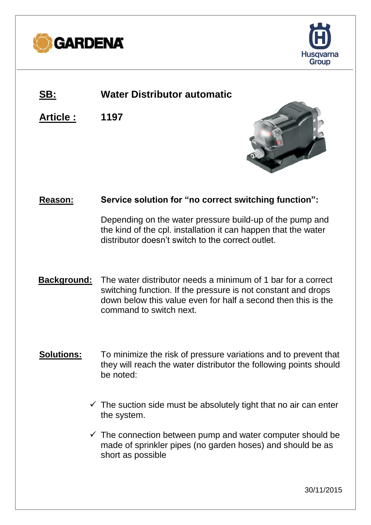



# **SB: Water Distributor automatic**

**Article : 1197**



## **Reason: Service solution for "no correct switching function":**

Depending on the water pressure build-up of the pump and the kind of the cpl. installation it can happen that the water distributor doesn't switch to the correct outlet.

- **Background:** The water distributor needs a minimum of 1 bar for a correct switching function. If the pressure is not constant and drops down below this value even for half a second then this is the command to switch next.
- **Solutions:** To minimize the risk of pressure variations and to prevent that they will reach the water distributor the following points should be noted:
	- $\checkmark$  The suction side must be absolutely tight that no air can enter the system.
	- $\checkmark$  The connection between pump and water computer should be made of sprinkler pipes (no garden hoses) and should be as short as possible

30/11/2015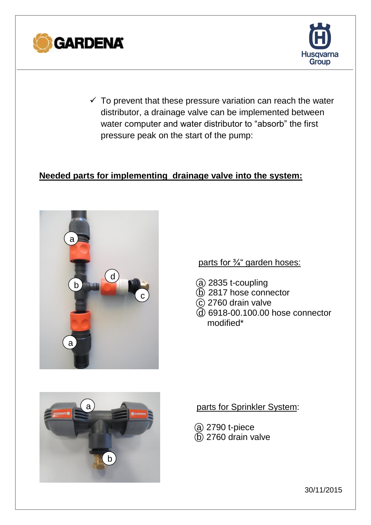



 $\checkmark$  To prevent that these pressure variation can reach the water distributor, a drainage valve can be implemented between water computer and water distributor to "absorb" the first pressure peak on the start of the pump:

### **Needed parts for implementing drainage valve into the system:**



parts for ¾" garden hoses:

- $(a)$  2835 t-coupling
- b 2817 hose connector
- $\odot$  2760 drain valve
- d 6918-00.100.00 hose connector modified\*



### parts for Sprinkler System:

- @ 2790 t-piece
- $\overline{6}$  2760 drain valve

30/11/2015